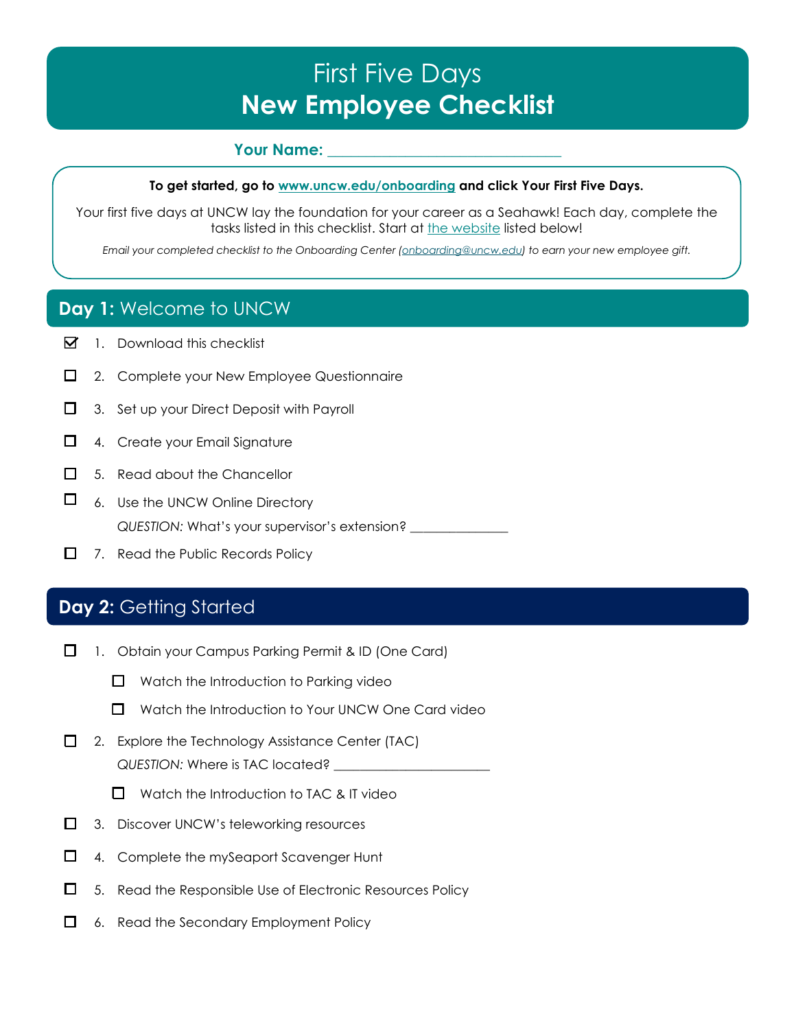# First Five Days **New Employee Checklist**

#### **Your Name:**

#### **To get started, go to [www.uncw.edu/onboarding](https://uncw.edu/onboarding/index.html) and click Your First Five Days.**

Your first five days at UNCW lay the foundation for your career as a Seahawk! Each day, complete the tasks listed in this checklist. Start at [the website](https://uncw.edu/onboarding/index.html) listed below!

*Email your completed checklist to the Onboarding Center [\(onboarding@uncw.edu\)](mailto:onboarding@uncw.edu) to earn your new employee gift.* 

## **Day 1:** Welcome to UNCW

- $\boxtimes$  1. Download this checklist
- $\Box$  2. Complete your New Employee Questionnaire
- $\Box$  3. Set up your Direct Deposit with Payroll
- $\Box$  4. Create your Email Signature
- $\Box$  5. Read about the Chancellor
- $\Box$  6. Use the UNCW Online Directory *QUESTION:* What's your supervisor's extension? \_\_\_\_\_\_\_\_\_\_\_\_\_\_\_
- $\Box$  7. Read the Public Records Policy

#### **Day 2: Getting Started**

- □ 1. Obtain your Campus Parking Permit & ID (One Card)
	- $\Box$  Watch the Introduction to Parking video
	- $\Box$  Watch the Introduction to Your UNCW One Card video
- $\Box$  2. Explore the Technology Assistance Center (TAC) *QUESTION:* Where is TAC located? \_\_\_\_\_\_\_\_\_\_\_\_\_\_\_\_\_\_\_\_\_\_\_\_
	- $\Box$  Watch the Introduction to TAC & IT video
- □ 3. Discover UNCW's teleworking resources
- □ 4. Complete the mySeaport Scavenger Hunt
- $\Box$  5. Read the Responsible Use of Electronic Resources Policy
- $\Box$  6. Read the Secondary Employment Policy